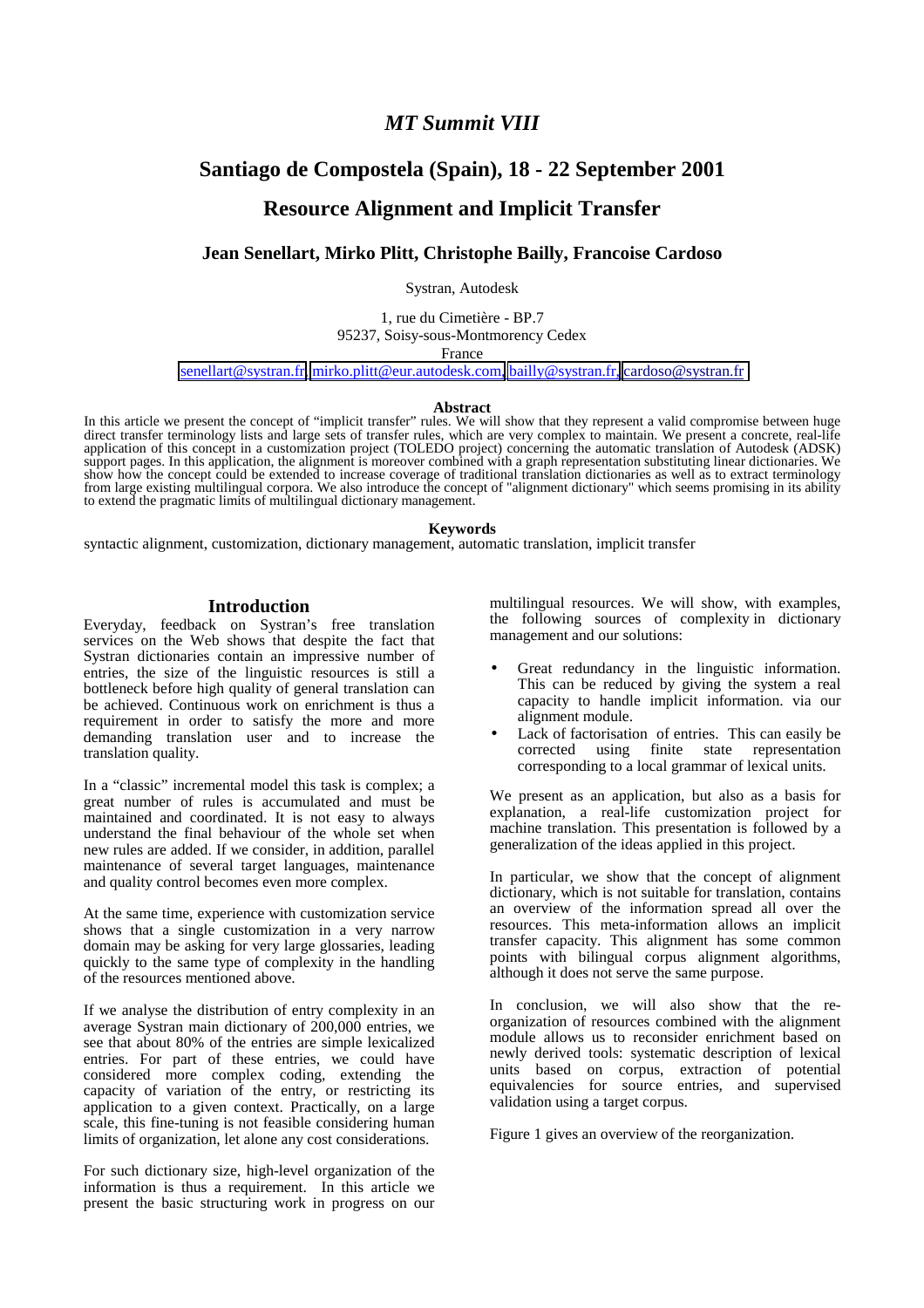# *MT Summit VIII*

# **Santiago de Compostela (Spain), 18 - 22 September 2001**

# **Resource Alignment and Implicit Transfer**

# **Jean Senellart, Mirko Plitt, Christophe Bailly, Francoise Cardoso**

Systran, Autodesk

1, rue du Cimetière - BP.7

95237, Soisy-sous-Montmorency Cedex

France

[senellart@systran.fr,](mailto:senellart@systran.fr) [mirko.plitt@eur.autodesk.com,](mailto:mirko.plitt@eur.autodesk.com) [bailly@systran.fr,](mailto:bailly@systran.fr) [cardoso@systran.fr](mailto:cardoso@systran.fr)

#### **Abstract**

In this article we present the concept of "implicit transfer" rules. We will show that they represent a valid compromise between huge direct transfer terminology lists and large sets of transfer rules, which are very complex to maintain. We present a concrete, real-life application of this concept in a customization project (TOLEDO project) concerning the automatic translation of Autodesk (ADSK) support pages. In this application, the alignment is moreover combined with a graph representation substituting linear dictionaries. We show how the concept could be extended to increase coverage of traditional translation dictionaries as well as to extract terminology from large existing multilingual corpora. We also introduce the concept of "alignment dictionary" which seems promising in its ability to extend the pragmatic limits of multilingual dictionary management.

#### **Keywords**

syntactic alignment, customization, dictionary management, automatic translation, implicit transfer

#### **Introduction**

Everyday, feedback on Systran's free translation services on the Web shows that despite the fact that Systran dictionaries contain an impressive number of entries, the size of the linguistic resources is still a bottleneck before high quality of general translation can be achieved. Continuous work on enrichment is thus a requirement in order to satisfy the more and more demanding translation user and to increase the translation quality.

In a "classic" incremental model this task is complex; a great number of rules is accumulated and must be maintained and coordinated. It is not easy to always understand the final behaviour of the whole set when new rules are added. If we consider, in addition, parallel maintenance of several target languages, maintenance and quality control becomes even more complex.

At the same time, experience with customization service shows that a single customization in a very narrow domain may be asking for very large glossaries, leading quickly to the same type of complexity in the handling of the resources mentioned above.

If we analyse the distribution of entry complexity in an average Systran main dictionary of 200,000 entries, we see that about 80% of the entries are simple lexicalized entries. For part of these entries, we could have considered more complex coding, extending the capacity of variation of the entry, or restricting its application to a given context. Practically, on a large scale, this fine-tuning is not feasible considering human limits of organization, let alone any cost considerations.

For such dictionary size, high-level organization of the information is thus a requirement. In this article we present the basic structuring work in progress on our

multilingual resources. We will show, with examples, the following sources of complexity in dictionary management and our solutions:

- Great redundancy in the linguistic information. This can be reduced by giving the system a real capacity to handle implicit information. via our alignment module.
- Lack of factorisation of entries. This can easily be corrected using finite state representation corresponding to a local grammar of lexical units.

We present as an application, but also as a basis for explanation, a real-life customization project for machine translation. This presentation is followed by a generalization of the ideas applied in this project.

In particular, we show that the concept of alignment dictionary, which is not suitable for translation, contains an overview of the information spread all over the resources. This meta-information allows an implicit transfer capacity. This alignment has some common points with bilingual corpus alignment algorithms, although it does not serve the same purpose.

In conclusion, we will also show that the reorganization of resources combined with the alignment module allows us to reconsider enrichment based on newly derived tools: systematic description of lexical units based on corpus, extraction of potential equivalencies for source entries, and supervised validation using a target corpus.

Figure 1 gives an overview of the reorganization.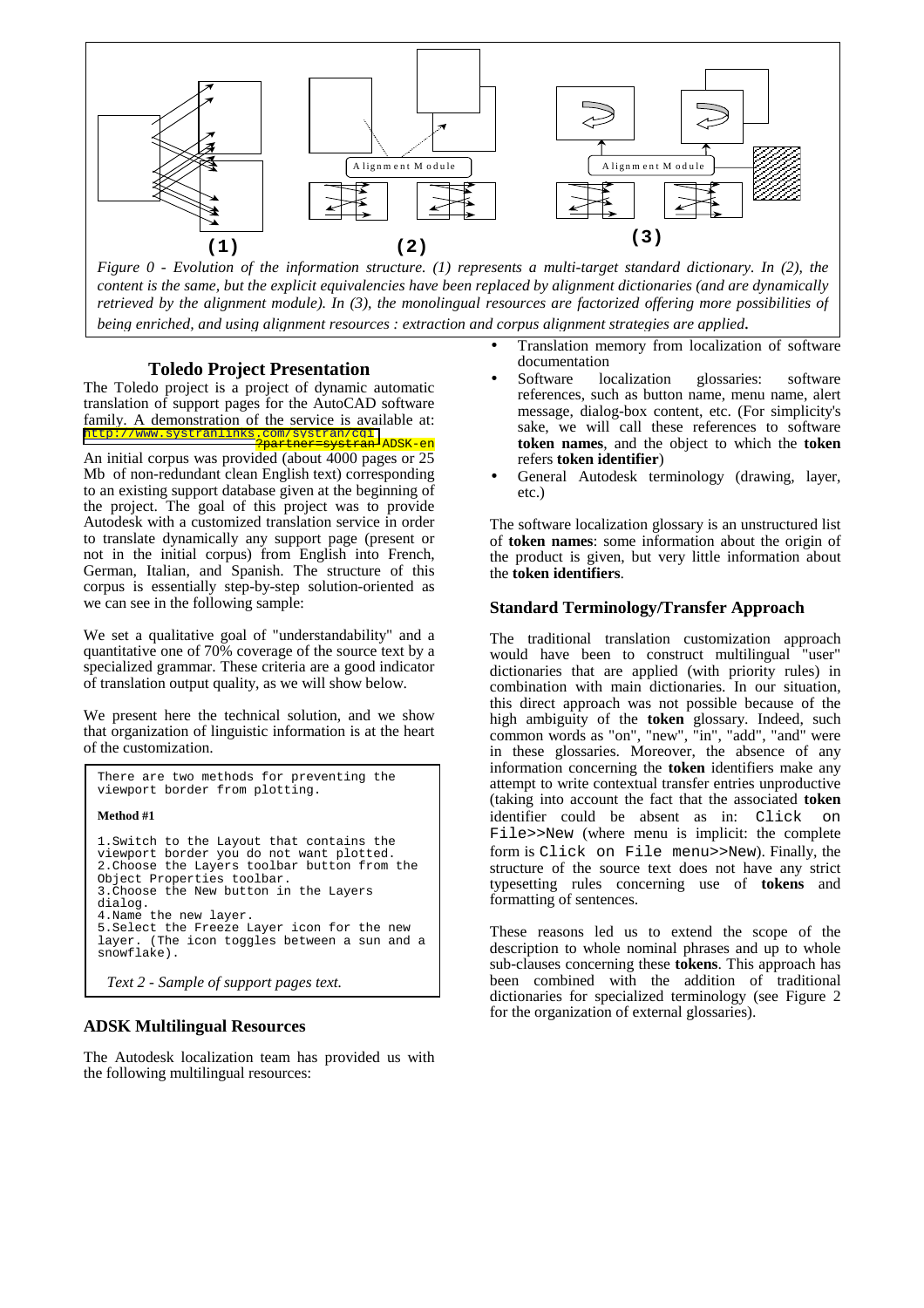

*Figure 0 - Evolution of the information structure. (1) represents a multi-target standard dictionary. In (2), the content is the same, but the explicit equivalencies have been replaced by alignment dictionaries (and are dynamically retrieved by the alignment module). In (3), the monolingual resources are factorized offering more possibilities of being enriched, and using alignment resources : extraction and corpus alignment strategies are applied.* 

#### **Toledo Project Presentation**

The Toledo project is a project of dynamic automatic translation of support pages for the AutoCAD software family. A demonstration of the service is available at: <http://www.systranlinks.com/systran/cgi> ?partner=systran-ADSK-en

An initial corpus was provided (about 4000 pages or 25 Mb of non-redundant clean English text) corresponding to an existing support database given at the beginning of the project. The goal of this project was to provide Autodesk with a customized translation service in order to translate dynamically any support page (present or not in the initial corpus) from English into French, German, Italian, and Spanish. The structure of this corpus is essentially step-by-step solution-oriented as we can see in the following sample:

We set a qualitative goal of "understandability" and a quantitative one of 70% coverage of the source text by a specialized grammar. These criteria are a good indicator of translation output quality, as we will show below.

We present here the technical solution, and we show that organization of linguistic information is at the heart of the customization.

```
There are two methods for preventing the
viewport border from plotting.
Method #1 
1.Switch to the Layout that contains the
viewport border you do not want plotted.
2.Choose the Layers toolbar button from the
Object Properties toolbar.
3.Choose the New button in the Layers
dialog.
4.Name the new layer.
5.Select the Freeze Layer icon for the new
layer. (The icon toggles between a sun and a
snowflake).
 Text 2 - Sample of support pages text.
```
#### **ADSK Multilingual Resources**

The Autodesk localization team has provided us with the following multilingual resources:

- Translation memory from localization of software documentation
- Software localization glossaries: software references, such as button name, menu name, alert message, dialog-box content, etc. (For simplicity's sake, we will call these references to software **token names**, and the object to which the **token** refers **token identifier**)
- General Autodesk terminology (drawing, layer, etc.)

The software localization glossary is an unstructured list of **token names**: some information about the origin of the product is given, but very little information about the **token identifiers**.

#### **Standard Terminology/Transfer Approach**

The traditional translation customization approach would have been to construct multilingual "user" dictionaries that are applied (with priority rules) in combination with main dictionaries. In our situation, this direct approach was not possible because of the high ambiguity of the **token** glossary. Indeed, such common words as "on", "new", "in", "add", "and" were in these glossaries. Moreover, the absence of any information concerning the **token** identifiers make any attempt to write contextual transfer entries unproductive (taking into account the fact that the associated **token** identifier could be absent as in: Click File>>New (where menu is implicit: the complete form is Click on File menu>>New). Finally, the structure of the source text does not have any strict typesetting rules concerning use of **tokens** and formatting of sentences.

These reasons led us to extend the scope of the description to whole nominal phrases and up to whole sub-clauses concerning these **tokens**. This approach has been combined with the addition of traditional dictionaries for specialized terminology (see Figure 2 for the organization of external glossaries).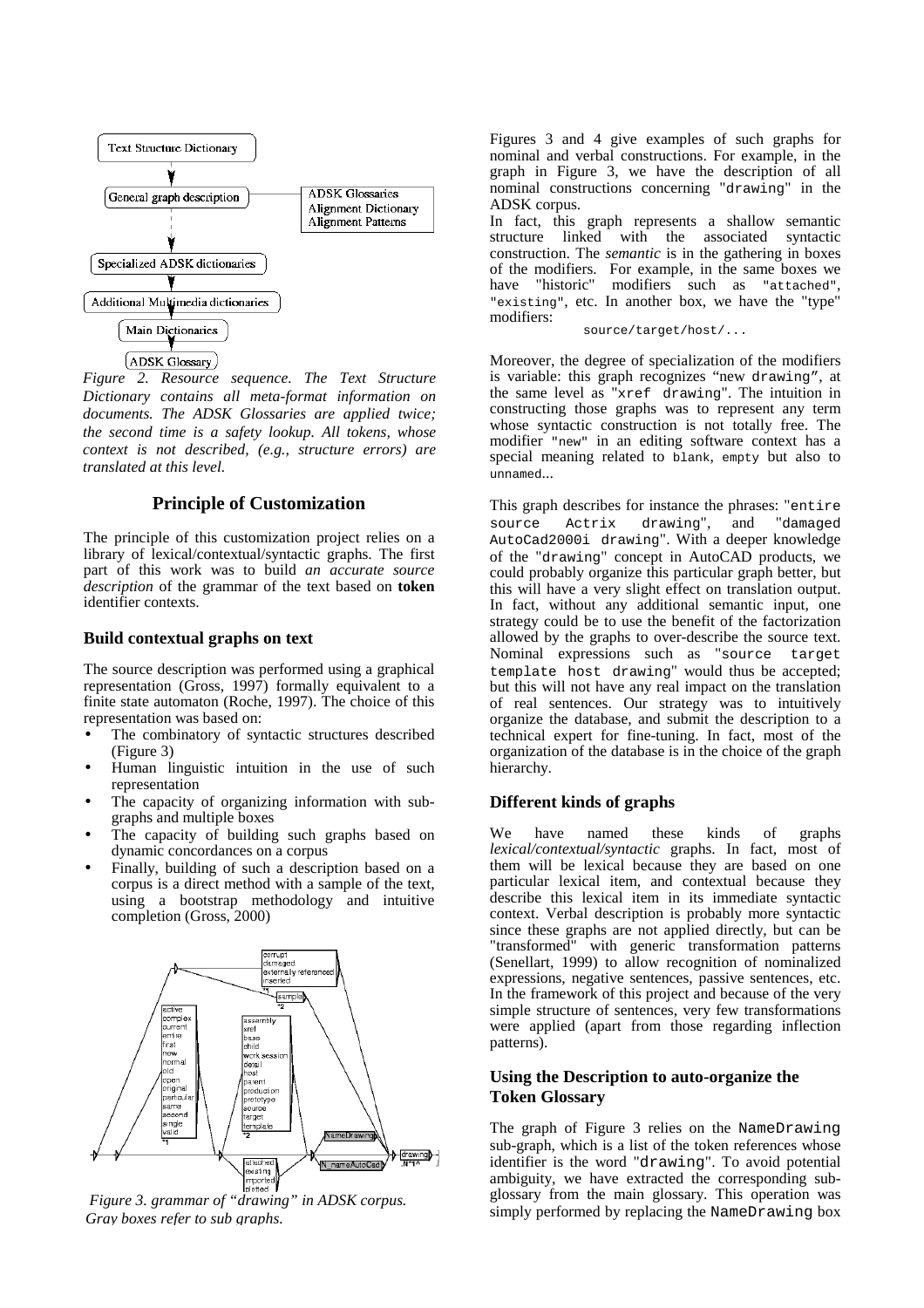

*Figure 2. Resource sequence. The Text Structure Dictionary contains all meta-format information on documents. The ADSK Glossaries are applied twice; the second time is a safety lookup. All tokens, whose context is not described, (e.g., structure errors) are translated at this level.* 

# **Principle of Customization**

The principle of this customization project relies on a library of lexical/contextual/syntactic graphs. The first part of this work was to build *an accurate source description* of the grammar of the text based on **token** identifier contexts.

# **Build contextual graphs on text**

The source description was performed using a graphical representation (Gross, 1997) formally equivalent to a finite state automaton (Roche, 1997). The choice of this representation was based on:

- The combinatory of syntactic structures described (Figure 3)
- Human linguistic intuition in the use of such representation
- The capacity of organizing information with subgraphs and multiple boxes
- The capacity of building such graphs based on dynamic concordances on a corpus
- Finally, building of such a description based on a corpus is a direct method with a sample of the text, using a bootstrap methodology and intuitive completion (Gross, 2000)



*Figure 3. grammar of "drawing" in ADSK corpus. Gray boxes refer to sub graphs.*

Figures 3 and 4 give examples of such graphs for nominal and verbal constructions. For example, in the graph in Figure 3, we have the description of all nominal constructions concerning "drawing" in the ADSK corpus.

In fact, this graph represents a shallow semantic structure linked with the associated syntactic construction. The *semantic* is in the gathering in boxes of the modifiers. For example, in the same boxes we have "historic" modifiers such as "attached". have "historic" modifiers such as "attached", "existing", etc. In another box, we have the "type" modifiers:

source/target/host/...

Moreover, the degree of specialization of the modifiers is variable: this graph recognizes "new drawing", at the same level as "xref drawing". The intuition in constructing those graphs was to represent any term whose syntactic construction is not totally free. The modifier "new" in an editing software context has a special meaning related to blank, empty but also to unnamed...

This graph describes for instance the phrases: "entire<br>source Actrix drawing", and "damaged source Actrix drawing", and AutoCad2000i drawing". With a deeper knowledge of the "drawing" concept in AutoCAD products, we could probably organize this particular graph better, but this will have a very slight effect on translation output. In fact, without any additional semantic input, one strategy could be to use the benefit of the factorization allowed by the graphs to over-describe the source text. Nominal expressions such as "source target template host drawing" would thus be accepted; but this will not have any real impact on the translation of real sentences. Our strategy was to intuitively organize the database, and submit the description to a technical expert for fine-tuning. In fact, most of the organization of the database is in the choice of the graph hierarchy.

#### **Different kinds of graphs**

We have named these kinds of graphs *lexical/contextual/syntactic* graphs. In fact, most of them will be lexical because they are based on one particular lexical item, and contextual because they describe this lexical item in its immediate syntactic context. Verbal description is probably more syntactic since these graphs are not applied directly, but can be "transformed" with generic transformation patterns (Senellart, 1999) to allow recognition of nominalized expressions, negative sentences, passive sentences, etc. In the framework of this project and because of the very simple structure of sentences, very few transformations were applied (apart from those regarding inflection patterns).

# **Using the Description to auto-organize the Token Glossary**

The graph of Figure 3 relies on the NameDrawing sub-graph, which is a list of the token references whose identifier is the word "drawing". To avoid potential ambiguity, we have extracted the corresponding subglossary from the main glossary. This operation was simply performed by replacing the NameDrawing box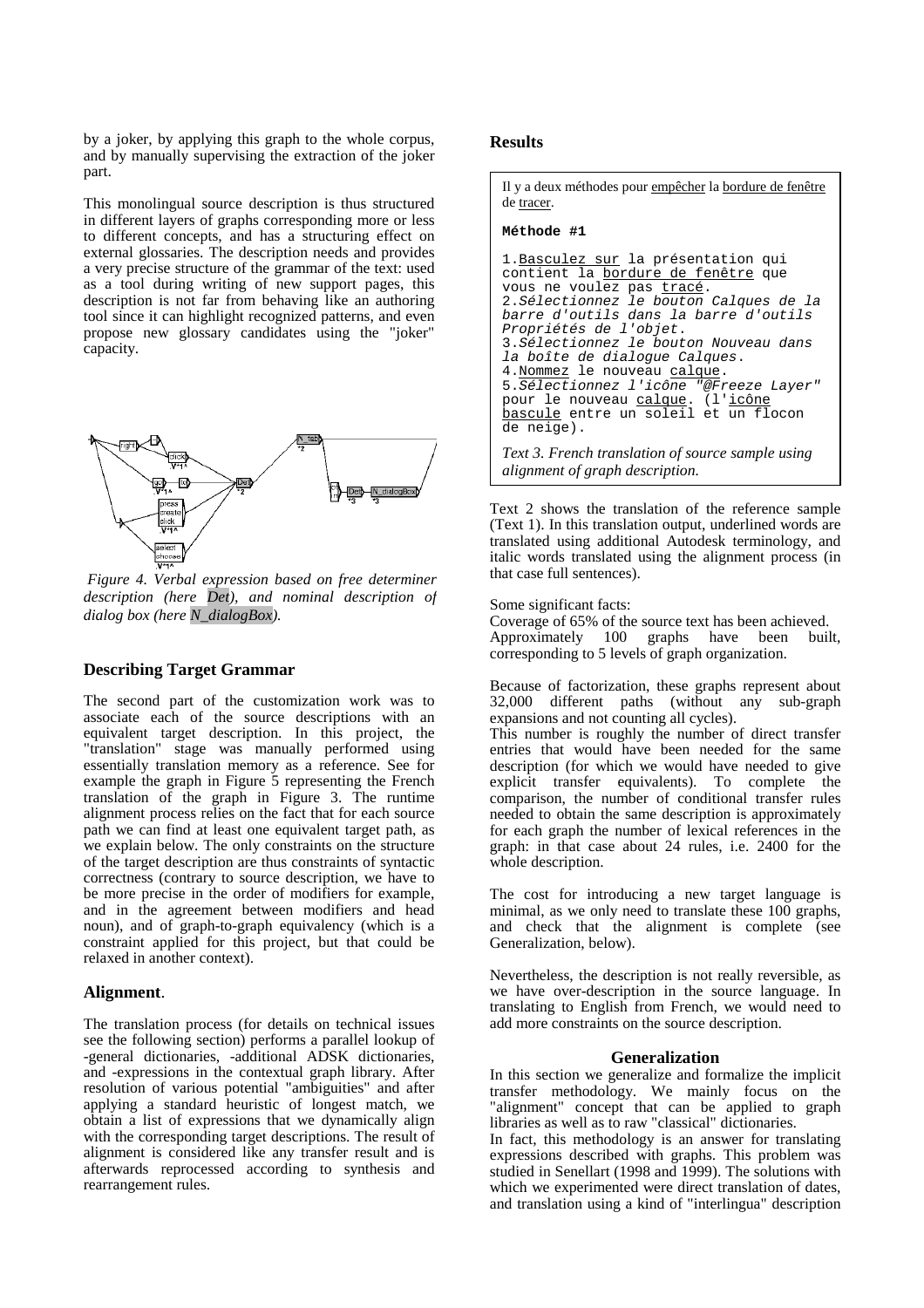by a joker, by applying this graph to the whole corpus, and by manually supervising the extraction of the joker part.

This monolingual source description is thus structured in different layers of graphs corresponding more or less to different concepts, and has a structuring effect on external glossaries. The description needs and provides a very precise structure of the grammar of the text: used as a tool during writing of new support pages, this description is not far from behaving like an authoring tool since it can highlight recognized patterns, and even propose new glossary candidates using the "joker" capacity.



 *Figure 4. Verbal expression based on free determiner description (here Det), and nominal description of dialog box (here N\_dialogBox).* 

# **Describing Target Grammar**

The second part of the customization work was to associate each of the source descriptions with an equivalent target description. In this project, the "translation" stage was manually performed using essentially translation memory as a reference. See for example the graph in Figure 5 representing the French translation of the graph in Figure 3. The runtime alignment process relies on the fact that for each source path we can find at least one equivalent target path, as we explain below. The only constraints on the structure of the target description are thus constraints of syntactic correctness (contrary to source description, we have to be more precise in the order of modifiers for example, and in the agreement between modifiers and head noun), and of graph-to-graph equivalency (which is a constraint applied for this project, but that could be relaxed in another context).

# **Alignment**.

The translation process (for details on technical issues see the following section) performs a parallel lookup of -general dictionaries, -additional ADSK dictionaries, and -expressions in the contextual graph library. After resolution of various potential "ambiguities" and after applying a standard heuristic of longest match, we obtain a list of expressions that we dynamically align with the corresponding target descriptions. The result of alignment is considered like any transfer result and is afterwards reprocessed according to synthesis and rearrangement rules.

## **Results**

Il y a deux méthodes pour empêcher la bordure de fenêtre de tracer.

#### **Méthode #1**

```
1.Basculez sur la présentation qui
contient la bordure de fenêtre que
vous ne voulez pas tracé.
2.Sélectionnez le bouton Calques de la
barre d'outils dans la barre d'outils
Propriétés de l'objet.
3.Sélectionnez le bouton Nouveau dans
la boîte de dialogue Calques.
4. Nommez le nouveau calque.
5.Sélectionnez l'icône "@Freeze Layer"
pour le nouveau calque. (l'icône
bascule entre un soleil et un flocon
de neige).
Text 3. French translation of source sample using
```
*alignment of graph description.* 

Text 2 shows the translation of the reference sample (Text 1). In this translation output, underlined words are translated using additional Autodesk terminology, and italic words translated using the alignment process (in that case full sentences).

Some significant facts:

Coverage of 65% of the source text has been achieved. Approximately 100 graphs have been built, corresponding to 5 levels of graph organization.

Because of factorization, these graphs represent about 32,000 different paths (without any sub-graph expansions and not counting all cycles).

This number is roughly the number of direct transfer entries that would have been needed for the same description (for which we would have needed to give explicit transfer equivalents). To complete the comparison, the number of conditional transfer rules needed to obtain the same description is approximately for each graph the number of lexical references in the graph: in that case about 24 rules, i.e. 2400 for the whole description.

The cost for introducing a new target language is minimal, as we only need to translate these 100 graphs, and check that the alignment is complete (see Generalization, below).

Nevertheless, the description is not really reversible, as we have over-description in the source language. In translating to English from French, we would need to add more constraints on the source description.

#### **Generalization**

In this section we generalize and formalize the implicit transfer methodology. We mainly focus on the "alignment" concept that can be applied to graph libraries as well as to raw "classical" dictionaries.

In fact, this methodology is an answer for translating expressions described with graphs. This problem was studied in Senellart (1998 and 1999). The solutions with which we experimented were direct translation of dates, and translation using a kind of "interlingua" description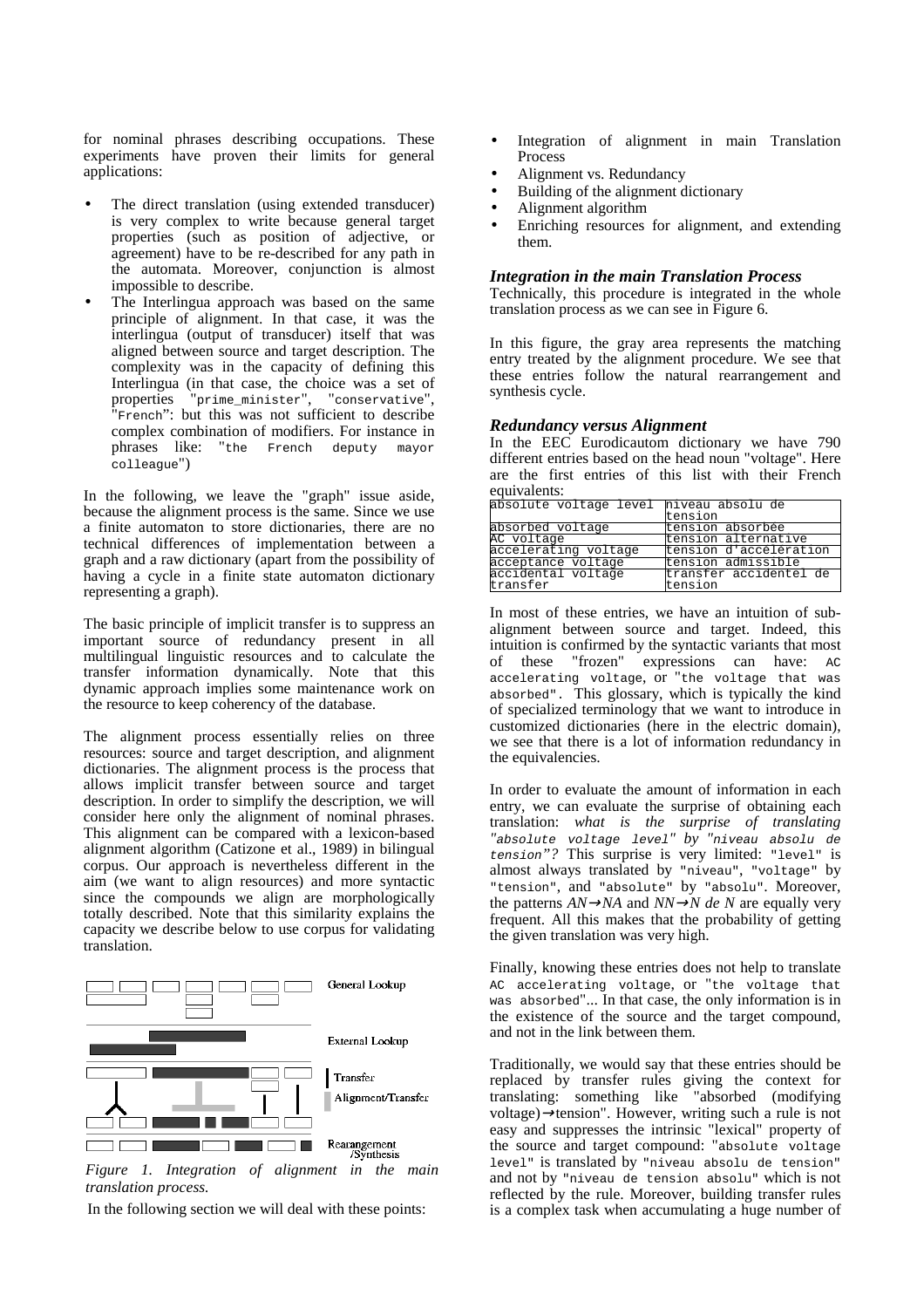for nominal phrases describing occupations. These experiments have proven their limits for general applications:

- The direct translation (using extended transducer) is very complex to write because general target properties (such as position of adjective, or agreement) have to be re-described for any path in the automata. Moreover, conjunction is almost impossible to describe.
- The Interlingua approach was based on the same principle of alignment. In that case, it was the interlingua (output of transducer) itself that was aligned between source and target description. The complexity was in the capacity of defining this Interlingua (in that case, the choice was a set of properties "prime\_minister", "conservative", "French": but this was not sufficient to describe complex combination of modifiers. For instance in phrases like: "the French deputy mayor colleague")

In the following, we leave the "graph" issue aside, because the alignment process is the same. Since we use a finite automaton to store dictionaries, there are no technical differences of implementation between a graph and a raw dictionary (apart from the possibility of having a cycle in a finite state automaton dictionary representing a graph).

The basic principle of implicit transfer is to suppress an important source of redundancy present in all multilingual linguistic resources and to calculate the transfer information dynamically. Note that this dynamic approach implies some maintenance work on the resource to keep coherency of the database.

The alignment process essentially relies on three resources: source and target description, and alignment dictionaries. The alignment process is the process that allows implicit transfer between source and target description. In order to simplify the description, we will consider here only the alignment of nominal phrases. This alignment can be compared with a lexicon-based alignment algorithm (Catizone et al., 1989) in bilingual corpus. Our approach is nevertheless different in the aim (we want to align resources) and more syntactic since the compounds we align are morphologically totally described. Note that this similarity explains the capacity we describe below to use corpus for validating translation.



*Figure 1. Integration of alignment in the main translation process.* 

In the following section we will deal with these points:

- Integration of alignment in main Translation Process
- Alignment vs. Redundancy
- Building of the alignment dictionary
- Alignment algorithm
- Enriching resources for alignment, and extending them.

#### *Integration in the main Translation Process*

Technically, this procedure is integrated in the whole translation process as we can see in Figure 6.

In this figure, the gray area represents the matching entry treated by the alignment procedure. We see that these entries follow the natural rearrangement and synthesis cycle.

#### *Redundancy versus Alignment*

In the EEC Eurodicautom dictionary we have 790 different entries based on the head noun "voltage". Here are the first entries of this list with their French equivalents:

| absolute voltage level hiveau absolu de |                        |  |
|-----------------------------------------|------------------------|--|
|                                         | tension                |  |
| absorbed voltage                        | tension absorbée       |  |
| AC voltage                              | tension alternative    |  |
| accelerating voltage                    | tension d'accélération |  |
| acceptance voltage                      | tension admissible     |  |
| accidental voltage                      | transfer accidentel de |  |
| transfer                                | tension                |  |
|                                         |                        |  |

In most of these entries, we have an intuition of subalignment between source and target. Indeed, this intuition is confirmed by the syntactic variants that most of these "frozen" expressions can have: AC accelerating voltage, or "the voltage that was absorbed". This glossary, which is typically the kind of specialized terminology that we want to introduce in customized dictionaries (here in the electric domain), we see that there is a lot of information redundancy in the equivalencies.

In order to evaluate the amount of information in each entry, we can evaluate the surprise of obtaining each translation: *what is the surprise of translating "*absolute voltage level*" by "*niveau absolu de tension*"?* This surprise is very limited: "level" is almost always translated by "niveau", "voltage" by "tension", and "absolute" by "absolu". Moreover, the patterns  $AN \rightarrow NA$  and  $NN \rightarrow N$  de N are equally very frequent. All this makes that the probability of getting the given translation was very high.

Finally, knowing these entries does not help to translate AC accelerating voltage, or "the voltage that was absorbed"... In that case, the only information is in the existence of the source and the target compound, and not in the link between them.

Traditionally, we would say that these entries should be replaced by transfer rules giving the context for translating: something like "absorbed (modifying voltage)→tension". However, writing such a rule is not easy and suppresses the intrinsic "lexical" property of the source and target compound: "absolute voltage level" is translated by "niveau absolu de tension" and not by "niveau de tension absolu" which is not reflected by the rule. Moreover, building transfer rules is a complex task when accumulating a huge number of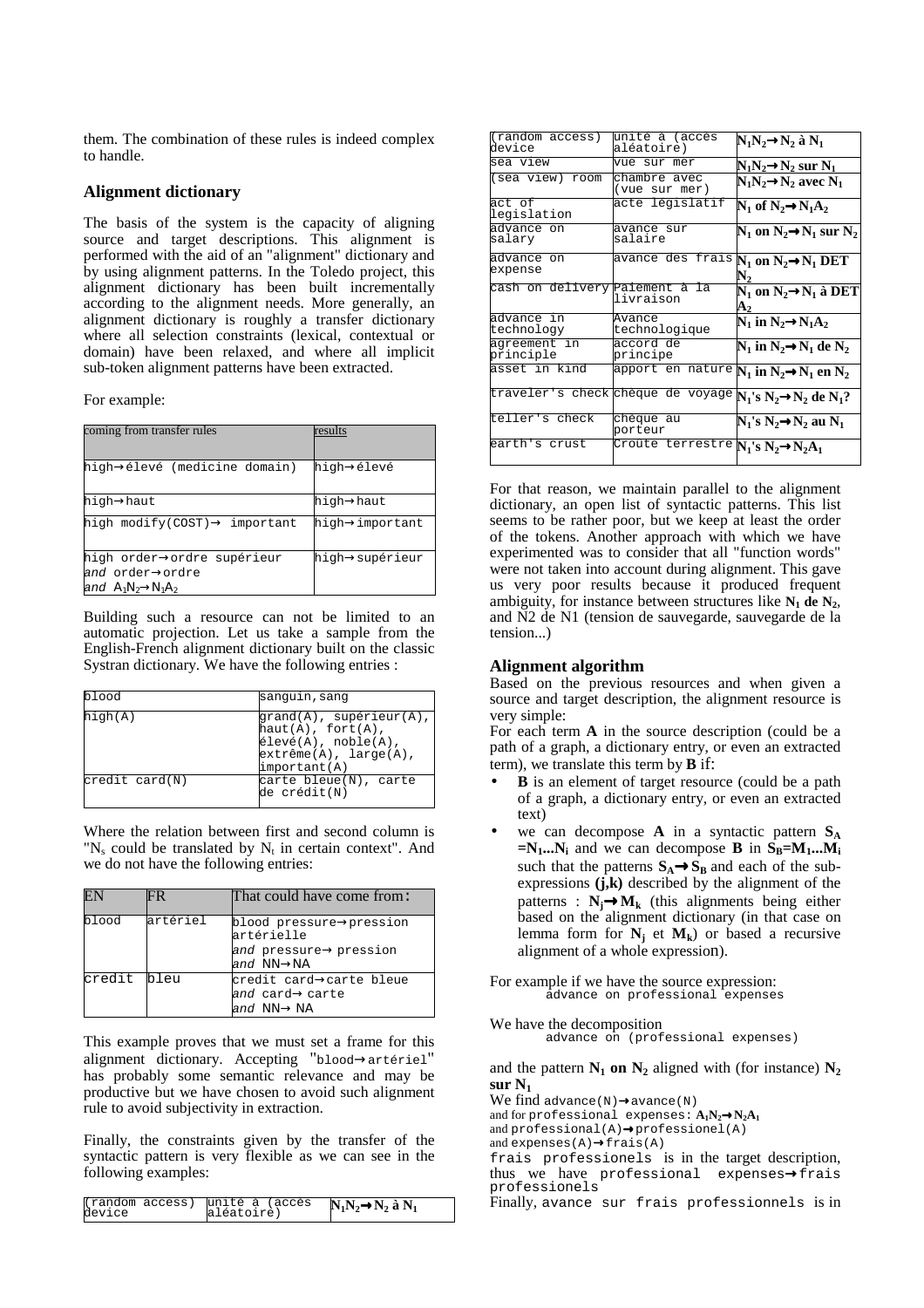them. The combination of these rules is indeed complex to handle.

#### **Alignment dictionary**

The basis of the system is the capacity of aligning source and target descriptions. This alignment is performed with the aid of an "alignment" dictionary and by using alignment patterns. In the Toledo project, this alignment dictionary has been built incrementally according to the alignment needs. More generally, an alignment dictionary is roughly a transfer dictionary where all selection constraints (lexical, contextual or domain) have been relaxed, and where all implicit sub-token alignment patterns have been extracted.

For example:

| coming from transfer rules                | results        |
|-------------------------------------------|----------------|
| high→élevé (medicine domain)              | hiqh→élevé     |
| high→haut                                 | high→haut      |
| high modify(COST) $\rightarrow$ important | high→important |
| high order→ordre supérieur                | hiqh→supérieur |
| and order⇒ordre                           |                |
| and $A_1N_2 \rightarrow N_1A_2$           |                |

Building such a resource can not be limited to an automatic projection. Let us take a sample from the English-French alignment dictionary built on the classic Systran dictionary. We have the following entries :

| blood                   | sanguin, sang                                                                                                                                            |  |
|-------------------------|----------------------------------------------------------------------------------------------------------------------------------------------------------|--|
| high(A)                 | $\text{grand}(A)$ , supérieur $(A)$ ,<br>$haut(A)$ , fort $(A)$ ,<br>$\text{élevé}(A)$ , noble $(A)$ ,<br>extrême(A), large(A),<br>$\text{important}(A)$ |  |
| $\text{credit card}(N)$ | carte bleue(N), carte<br>de crédit(N)                                                                                                                    |  |

Where the relation between first and second column is "N<sub>s</sub> could be translated by  $N_t$  in certain context". And we do not have the following entries:

|             | FR.      | That could have come from:                                           |
|-------------|----------|----------------------------------------------------------------------|
| blood       | artériel | blood pressure->pression<br>artérielle                               |
|             |          | and pressure $\rightarrow$ pression<br>and $NN \rightarrow NA$       |
| credit bleu |          | credit card→carte bleue<br>and card→carte<br>and $NN \rightarrow NA$ |

This example proves that we must set a frame for this alignment dictionary. Accepting "blood→artériel" has probably some semantic relevance and may be productive but we have chosen to avoid such alignment rule to avoid subjectivity in extraction.

Finally, the constraints given by the transfer of the syntactic pattern is very flexible as we can see in the following examples:

| device | (random access) unité à (accès<br>aléatoire) | $N_1N_2 \rightarrow N_2$ à $N_1$ |
|--------|----------------------------------------------|----------------------------------|
|--------|----------------------------------------------|----------------------------------|

| $(\text{random access})$<br>device | unité à (accès<br>aléatoire)                                                          | $N_1N_2 \rightarrow N_2$ à $N_1$                    |
|------------------------------------|---------------------------------------------------------------------------------------|-----------------------------------------------------|
| sea view                           | vue sur mer                                                                           | $N_1N_2 \rightarrow N_2$ sur $N_1$                  |
| (sea view) room                    | chambre avec<br>(vue sur mer)                                                         | $N_1N_2 \rightarrow N_2$ avec $N_1$                 |
| act of<br>legislation              | acte législatif                                                                       | $N_1$ of $N_2 \rightarrow N_1 A_2$                  |
| advance on<br>salary               | avance sur<br>salaire                                                                 | $N_1$ on $N_2 \rightarrow N_1$ sur $N_2$            |
| advance on<br>expense              | avance des frais $N_1$ on $N_2 \rightarrow N_1$ DET                                   |                                                     |
| cash on delivery Paiement à la     | livraison                                                                             | $N_1$ on $N_2 \rightarrow N_1$ à DET<br>${\bf A_2}$ |
| advance in<br>technology           | Avance<br>technologique                                                               | $N_1$ in $N_2 \rightarrow N_1 A_2$                  |
| aqreement in<br>principle          | accord de<br>principe                                                                 | $N_1$ in $N_2 \rightarrow N_1$ de $N_2$             |
| asset in kind                      | apport en nature $N_1$ in $N_2{\rightarrow}N_1$ en $N_2$                              |                                                     |
|                                    | traveler's check chèque de voyage $\overline{N_1}$ 's $N_2{\rightarrow}N_2$ de $N_1?$ |                                                     |
| teller's check                     | chèque au<br>porteur                                                                  | $N_1$ 's $N_2 \rightarrow N_2$ au $N_1$             |
| earth's crust                      | Croûte terrestre $N_1$ 's $N_2 \rightarrow N_2A_1$                                    |                                                     |
|                                    |                                                                                       |                                                     |

For that reason, we maintain parallel to the alignment dictionary, an open list of syntactic patterns. This list seems to be rather poor, but we keep at least the order of the tokens. Another approach with which we have experimented was to consider that all "function words" were not taken into account during alignment. This gave us very poor results because it produced frequent ambiguity, for instance between structures like  $N_1$  de  $N_2$ , and N2 de N1 (tension de sauvegarde, sauvegarde de la tension...)

# **Alignment algorithm**

Based on the previous resources and when given a source and target description, the alignment resource is very simple:

For each term **A** in the source description (could be a path of a graph, a dictionary entry, or even an extracted term), we translate this term by **B** if:

- **B** is an element of target resource (could be a path of a graph, a dictionary entry, or even an extracted text)
- we can decompose  $\bf{A}$  in a syntactic pattern  $\bf{S}_A$  $=N_1...N_i$  and we can decompose **B** in  $S_B=M_1...M_i$ such that the patterns  $S_A \rightarrow S_B$  and each of the subexpressions  $(j,k)$  described by the alignment of the patterns :  $N_i \rightarrow M_k$  (this alignments being either based on the alignment dictionary (in that case on lemma form for  $N_j$  et  $M_k$ ) or based a recursive alignment of a whole expression).
- For example if we have the source expression: advance on professional expenses

We have the decomposition

advance on (professional expenses)

and the pattern  $N_1$  on  $N_2$  aligned with (for instance)  $N_2$ **sur N1** 

We find advance(N)→avance(N)

and for professional expenses:  $A_1N_2 \rightarrow N_2A_1$ 

and  $\overline{\text{profensational}}(A) \rightarrow \overline{\text{profensionel}}(A)$ and expenses $(A) \rightarrow$ frais $(A)$ 

frais professionels is in the target description, thus we have professional expenses→frais professionels

Finally, avance sur frais professionnels is in